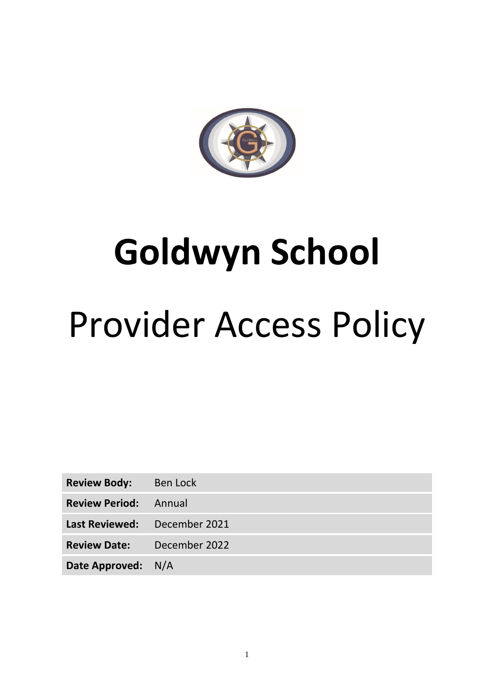

# **Goldwyn School** Provider Access Policy

| <b>Review Body:</b>          | Ben Lock      |
|------------------------------|---------------|
| <b>Review Period:</b> Annual |               |
| Last Reviewed: December 2021 |               |
| <b>Review Date:</b>          | December 2022 |
| Date Approved: N/A           |               |